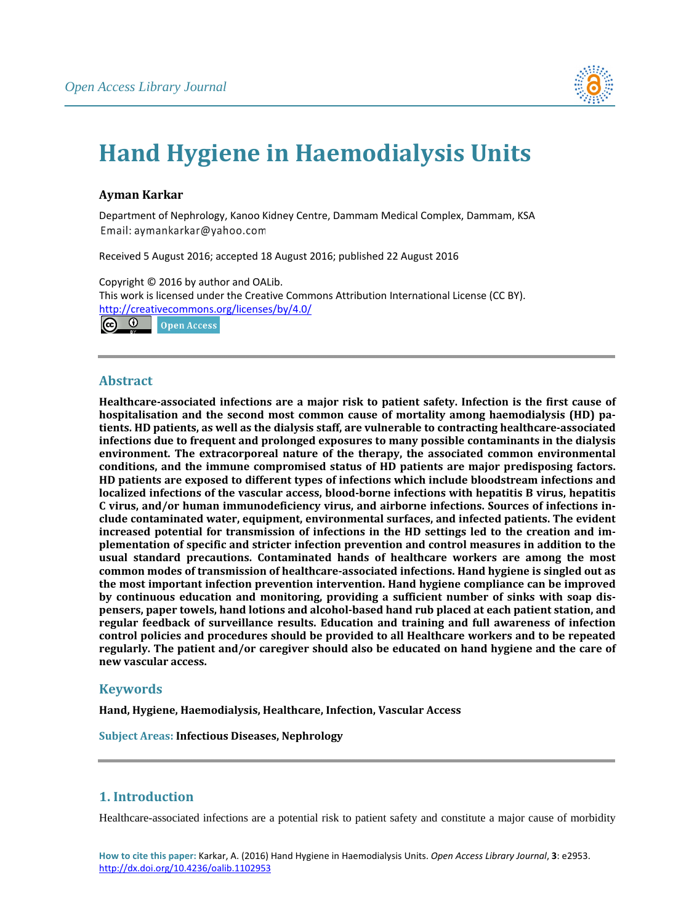

# **Hand Hygiene in Haemodialysis Units**

# **Ayman Karkar**

Department of Nephrology, Kanoo Kidney Centre, Dammam Medical Complex, Dammam, KSA Email: aymankarkar@yahoo.com

Received 5 August 2016; accepted 18 August 2016; published 22 August 2016

Copyright © 2016 by author and OALib. This work is licensed under the Creative Commons Attribution International License (CC BY). <http://creativecommons.org/licenses/by/4.0/> ര 0 **Open Access** 

# **Abstract**

**Healthcare-associated infections are a major risk to patient safety. Infection is the first cause of hospitalisation and the second most common cause of mortality among haemodialysis (HD) patients. HD patients, as well as the dialysis staff, are vulnerable to contracting healthcare-associated infections due to frequent and prolonged exposures to many possible contaminants in the dialysis environment. The extracorporeal nature of the therapy, the associated common environmental conditions, and the immune compromised status of HD patients are major predisposing factors. HD patients are exposed to different types of infections which include bloodstream infections and localized infections of the vascular access, blood-borne infections with hepatitis B virus, hepatitis C virus, and/or human immunodeficiency virus, and airborne infections. Sources of infections include contaminated water, equipment, environmental surfaces, and infected patients. The evident increased potential for transmission of infections in the HD settings led to the creation and implementation of specific and stricter infection prevention and control measures in addition to the usual standard precautions. Contaminated hands of healthcare workers are among the most common modes of transmission of healthcare-associated infections. Hand hygiene is singled out as the most important infection prevention intervention. Hand hygiene compliance can be improved by continuous education and monitoring, providing a sufficient number of sinks with soap dispensers, paper towels, hand lotions and alcohol-based hand rub placed at each patient station, and regular feedback of surveillance results. Education and training and full awareness of infection control policies and procedures should be provided to all Healthcare workers and to be repeated regularly. The patient and/or caregiver should also be educated on hand hygiene and the care of new vascular access.**

# **Keywords**

**Hand, Hygiene, Haemodialysis, Healthcare, Infection, Vascular Access**

**Subject Areas: Infectious Diseases, Nephrology**

# **1. Introduction**

Healthcare-associated infections are a potential risk to patient safety and constitute a major cause of morbidity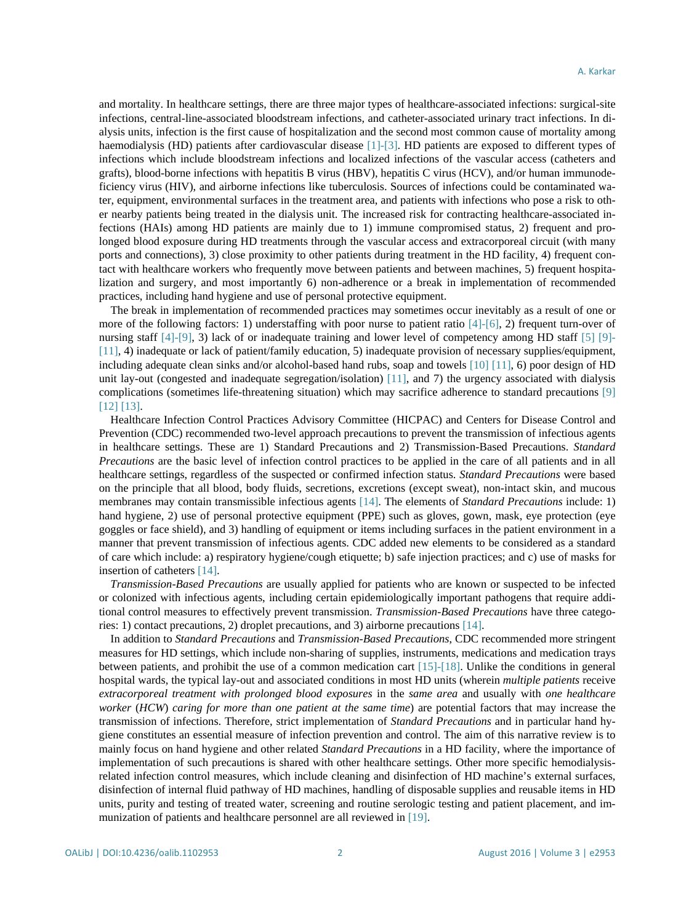and mortality. In healthcare settings, there are three major types of healthcare-associated infections: surgical-site infections, central-line-associated bloodstream infections, and catheter-associated urinary tract infections. In dialysis units, infection is the first cause of hospitalization and the second most common cause of mortality among haemodialysis (HD) patients after cardiovascular disease [\[1\]](#page-10-0)[-\[3\].](#page-10-1) HD patients are exposed to different types of infections which include bloodstream infections and localized infections of the vascular access (catheters and grafts), blood-borne infections with hepatitis B virus (HBV), hepatitis C virus (HCV), and/or human immunodeficiency virus (HIV), and airborne infections like tuberculosis. Sources of infections could be contaminated water, equipment, environmental surfaces in the treatment area, and patients with infections who pose a risk to other nearby patients being treated in the dialysis unit. The increased risk for contracting healthcare-associated infections (HAIs) among HD patients are mainly due to 1) immune compromised status, 2) frequent and prolonged blood exposure during HD treatments through the vascular access and extracorporeal circuit (with many ports and connections), 3) close proximity to other patients during treatment in the HD facility, 4) frequent contact with healthcare workers who frequently move between patients and between machines, 5) frequent hospitalization and surgery, and most importantly 6) non-adherence or a break in implementation of recommended practices, including hand hygiene and use of personal protective equipment.

The break in implementation of recommended practices may sometimes occur inevitably as a result of one or more of the following factors: 1) understaffing with poor nurse to patient ratio  $[4]-[6]$ , 2) frequent turn-over of nursing staff [\[4\]-](#page-10-2)[\[9\],](#page-10-4) 3) lack of or inadequate training and lower level of competency among HD staff [\[5\]](#page-10-5) [\[9\]-](#page-10-4) [\[11\],](#page-10-6) 4) inadequate or lack of patient/family education, 5) inadequate provision of necessary supplies/equipment, including adequate clean sinks and/or alcohol-based hand rubs, soap and towels [\[10\]](#page-10-7) [\[11\],](#page-10-6) 6) poor design of HD unit lay-out (congested and inadequate segregation/isolation) [\[11\],](#page-10-6) and 7) the urgency associated with dialysis complications (sometimes life-threatening situation) which may sacrifice adherence to standard precautions [\[9\]](#page-10-4) [\[12\]](#page-10-8) [\[13\].](#page-11-0)

Healthcare Infection Control Practices Advisory Committee (HICPAC) and Centers for Disease Control and Prevention (CDC) recommended two-level approach precautions to prevent the transmission of infectious agents in healthcare settings. These are 1) Standard Precautions and 2) Transmission-Based Precautions. *Standard Precautions* are the basic level of infection control practices to be applied in the care of all patients and in all healthcare settings, regardless of the suspected or confirmed infection status. *Standard Precautions* were based on the principle that all blood, body fluids, secretions, excretions (except sweat), non-intact skin, and mucous membranes may contain transmissible infectious agents [\[14\].](#page-11-1) The elements of *Standard Precautions* include: 1) hand hygiene, 2) use of personal protective equipment (PPE) such as gloves, gown, mask, eye protection (eye goggles or face shield), and 3) handling of equipment or items including surfaces in the patient environment in a manner that prevent transmission of infectious agents. CDC added new elements to be considered as a standard of care which include: a) respiratory hygiene/cough etiquette; b) safe injection practices; and c) use of masks for insertion of catheters [\[14\].](#page-11-1)

*Transmission-Based Precautions* are usually applied for patients who are known or suspected to be infected or colonized with infectious agents, including certain epidemiologically important pathogens that require additional control measures to effectively prevent transmission. *Transmission-Based Precautions* have three categories: 1) contact precautions, 2) droplet precautions, and 3) airborne precaution[s \[14\].](#page-11-1)

In addition to *Standard Precautions* and *Transmission-Based Precautions*, CDC recommended more stringent measures for HD settings, which include non-sharing of supplies, instruments, medications and medication trays between patients, and prohibit the use of a common medication cart [\[15\]-](#page-11-2)[\[18\].](#page-11-3) Unlike the conditions in general hospital wards, the typical lay-out and associated conditions in most HD units (wherein *multiple patients* receive *extracorporeal treatment with prolonged blood exposures* in the *same area* and usually with *one healthcare worker* (*HCW*) *caring for more than one patient at the same time*) are potential factors that may increase the transmission of infections. Therefore, strict implementation of *Standard Precautions* and in particular hand hygiene constitutes an essential measure of infection prevention and control. The aim of this narrative review is to mainly focus on hand hygiene and other related *Standard Precautions* in a HD facility, where the importance of implementation of such precautions is shared with other healthcare settings. Other more specific hemodialysisrelated infection control measures, which include cleaning and disinfection of HD machine's external surfaces, disinfection of internal fluid pathway of HD machines, handling of disposable supplies and reusable items in HD units, purity and testing of treated water, screening and routine serologic testing and patient placement, and immunization of patients and healthcare personnel are all reviewed in [\[19\].](#page-11-4)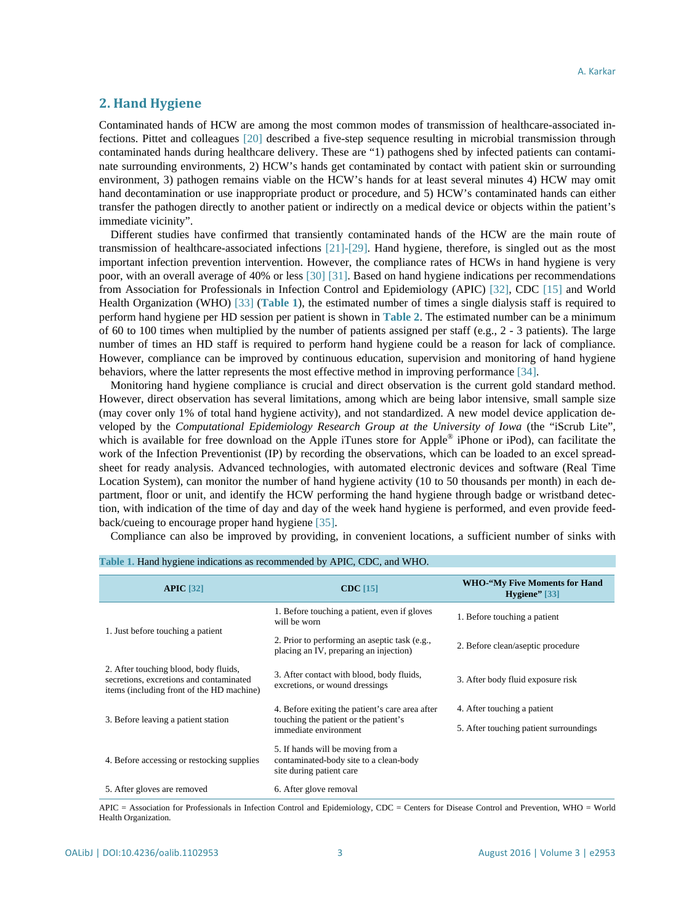# **2. Hand Hygiene**

Contaminated hands of HCW are among the most common modes of transmission of healthcare-associated infections. Pittet and colleagues [\[20\]](#page-11-5) described a five-step sequence resulting in microbial transmission through contaminated hands during healthcare delivery. These are "1) pathogens shed by infected patients can contaminate surrounding environments, 2) HCW's hands get contaminated by contact with patient skin or surrounding environment, 3) pathogen remains viable on the HCW's hands for at least several minutes 4) HCW may omit hand decontamination or use inappropriate product or procedure, and 5) HCW's contaminated hands can either transfer the pathogen directly to another patient or indirectly on a medical device or objects within the patient's immediate vicinity".

Different studies have confirmed that transiently contaminated hands of the HCW are the main route of transmission of healthcare-associated infections [\[21\]](#page-11-6)[-\[29\].](#page-11-7) Hand hygiene, therefore, is singled out as the most important infection prevention intervention. However, the compliance rates of HCWs in hand hygiene is very poor, with an overall average of 40% or less [\[30\]](#page-11-8) [\[31\].](#page-11-9) Based on hand hygiene indications per recommendations from Association for Professionals in Infection Control and Epidemiology (APIC) [\[32\],](#page-12-0) CDC [\[15\]](#page-11-2) and World Health Organization (WHO) [\[33\]](#page-12-1) (**[Table 1](#page-2-0)**), the estimated number of times a single dialysis staff is required to perform hand hygiene per HD session per patient is shown in **[Table 2](#page-3-0)**. The estimated number can be a minimum of 60 to 100 times when multiplied by the number of patients assigned per staff (e.g., 2 - 3 patients). The large number of times an HD staff is required to perform hand hygiene could be a reason for lack of compliance. However, compliance can be improved by continuous education, supervision and monitoring of hand hygiene behaviors, where the latter represents the most effective method in improving performance [\[34\].](#page-12-2)

Monitoring hand hygiene compliance is crucial and direct observation is the current gold standard method. However, direct observation has several limitations, among which are being labor intensive, small sample size (may cover only 1% of total hand hygiene activity), and not standardized. A new model device application developed by the *Computational Epidemiology Research Group at the University of Iowa* (the "iScrub Lite", which is available for free download on the Apple iTunes store for Apple<sup>®</sup> iPhone or iPod), can facilitate the work of the Infection Preventionist (IP) by recording the observations, which can be loaded to an excel spreadsheet for ready analysis. Advanced technologies, with automated electronic devices and software (Real Time Location System), can monitor the number of hand hygiene activity (10 to 50 thousands per month) in each department, floor or unit, and identify the HCW performing the hand hygiene through badge or wristband detection, with indication of the time of day and day of the week hand hygiene is performed, and even provide feedback/cueing to encourage proper hand hygiene [\[35\].](#page-12-3)

Compliance can also be improved by providing, in convenient locations, a sufficient number of sinks with

| APIC $[32]$                                                                                                                   | $CDC$ [15]                                                                                              | <b>WHO-"My Five Moments for Hand</b><br>Hygiene" $[33]$ |
|-------------------------------------------------------------------------------------------------------------------------------|---------------------------------------------------------------------------------------------------------|---------------------------------------------------------|
|                                                                                                                               | 1. Before touching a patient, even if gloves<br>will be worn                                            | 1. Before touching a patient                            |
| 1. Just before touching a patient                                                                                             | 2. Prior to performing an aseptic task (e.g.,<br>placing an IV, preparing an injection)                 | 2. Before clean/aseptic procedure                       |
| 2. After touching blood, body fluids,<br>secretions, excretions and contaminated<br>items (including front of the HD machine) | 3. After contact with blood, body fluids,<br>excretions, or wound dressings                             | 3. After body fluid exposure risk                       |
| 3. Before leaving a patient station                                                                                           | 4. Before exiting the patient's care area after<br>touching the patient or the patient's                | 4. After touching a patient                             |
|                                                                                                                               | immediate environment                                                                                   | 5. After touching patient surroundings                  |
| 4. Before accessing or restocking supplies                                                                                    | 5. If hands will be moving from a<br>contaminated-body site to a clean-body<br>site during patient care |                                                         |
| 5. After gloves are removed                                                                                                   | 6. After glove removal                                                                                  |                                                         |

<span id="page-2-0"></span>

|  |  |  | Table 1. Hand hygiene indications as recommended by APIC, CDC, and WHO. |  |  |
|--|--|--|-------------------------------------------------------------------------|--|--|
|--|--|--|-------------------------------------------------------------------------|--|--|

APIC = Association for Professionals in Infection Control and Epidemiology, CDC = Centers for Disease Control and Prevention, WHO = World Health Organization.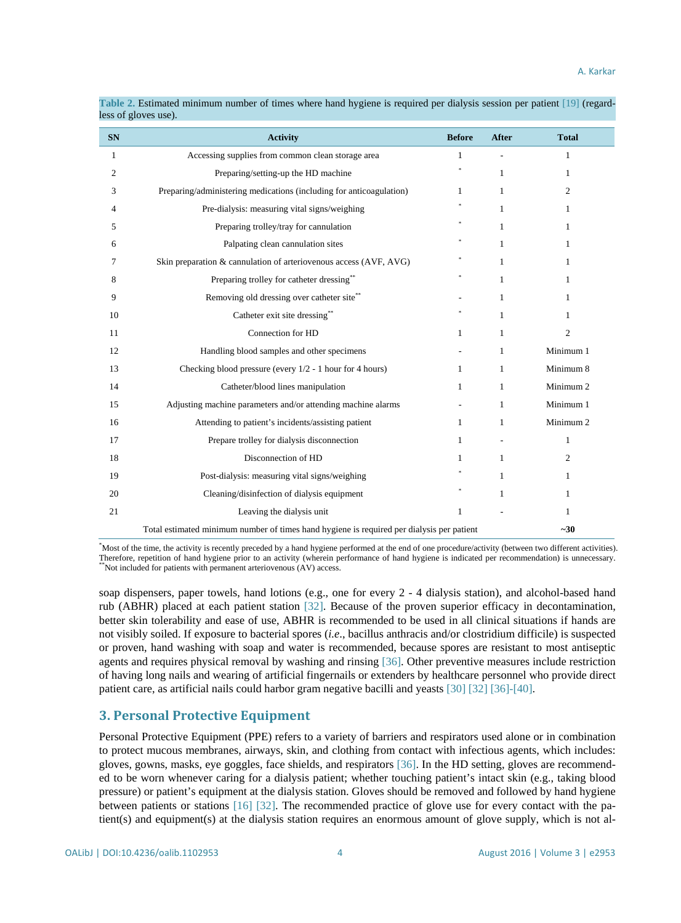| <b>SN</b>    | <b>Activity</b>                                                                           | <b>Before</b> | <b>After</b> | <b>Total</b>   |
|--------------|-------------------------------------------------------------------------------------------|---------------|--------------|----------------|
| $\mathbf{1}$ | Accessing supplies from common clean storage area                                         | 1             |              | 1              |
| 2            | Preparing/setting-up the HD machine                                                       |               | $\mathbf{1}$ | 1              |
| 3            | Preparing/administering medications (including for anticoagulation)                       | $\mathbf{1}$  | $\mathbf{1}$ | $\overline{c}$ |
| 4            | Pre-dialysis: measuring vital signs/weighing                                              |               | 1            | 1              |
| 5            | Preparing trolley/tray for cannulation                                                    |               | 1            | 1              |
| 6            | Palpating clean cannulation sites                                                         |               | 1            | 1              |
| 7            | Skin preparation & cannulation of arteriovenous access (AVF, AVG)                         |               | 1            | 1              |
| 8            | Preparing trolley for catheter dressing**                                                 |               | $\mathbf{1}$ | 1              |
| 9            | Removing old dressing over catheter site**                                                |               | $\mathbf{1}$ | 1              |
| 10           | Catheter exit site dressing**                                                             |               | $\mathbf{1}$ | 1              |
| 11           | Connection for HD                                                                         | 1             | $\mathbf{1}$ | $\overline{c}$ |
| 12           | Handling blood samples and other specimens                                                |               | 1            | Minimum 1      |
| 13           | Checking blood pressure (every $1/2 - 1$ hour for 4 hours)                                | $\mathbf{1}$  | $\mathbf{1}$ | Minimum 8      |
| 14           | Catheter/blood lines manipulation                                                         | $\mathbf{1}$  | $\mathbf{1}$ | Minimum 2      |
| 15           | Adjusting machine parameters and/or attending machine alarms                              |               | 1            | Minimum 1      |
| 16           | Attending to patient's incidents/assisting patient                                        | $\mathbf{1}$  | 1            | Minimum 2      |
| 17           | Prepare trolley for dialysis disconnection                                                | 1             |              | $\mathbf{1}$   |
| 18           | Disconnection of HD                                                                       | $\mathbf{1}$  | $\mathbf{1}$ | 2              |
| 19           | Post-dialysis: measuring vital signs/weighing                                             |               | 1            | 1              |
| 20           | Cleaning/disinfection of dialysis equipment                                               |               | 1            | 1              |
| 21           | Leaving the dialysis unit                                                                 | 1             |              | 1              |
|              | Total estimated minimum number of times hand hygiene is required per dialysis per patient |               |              | $-30$          |

<span id="page-3-0"></span>**Table 2.** Estimated minimum number of times where hand hygiene is required per dialysis session per patient [\[19\]](#page-11-4) (regardless of gloves use).

\* Most of the time, the activity is recently preceded by a hand hygiene performed at the end of one procedure/activity (between two different activities). Therefore, repetition of hand hygiene prior to an activity (wherein performance of hand hygiene is indicated per recommendation) is unnecessary. Not included for patients with permanent arteriovenous (AV) access.

soap dispensers, paper towels, hand lotions (e.g., one for every 2 - 4 dialysis station), and alcohol-based hand rub (ABHR) placed at each patient station [\[32\].](#page-12-0) Because of the proven superior efficacy in decontamination, better skin tolerability and ease of use, ABHR is recommended to be used in all clinical situations if hands are not visibly soiled. If exposure to bacterial spores (*i.e*., bacillus anthracis and/or clostridium difficile) is suspected or proven, hand washing with soap and water is recommended, because spores are resistant to most antiseptic agents and requires physical removal by washing and rinsing [\[36\].](#page-12-4) Other preventive measures include restriction of having long nails and wearing of artificial fingernails or extenders by healthcare personnel who provide direct patient care, as artificial nails could harbor gram negative bacilli and yeast[s \[30\]](#page-11-8) [\[32\]](#page-12-0) [\[36\]-](#page-12-4)[\[40\].](#page-12-5)

# **3. Personal Protective Equipment**

Personal Protective Equipment (PPE) refers to a variety of barriers and respirators used alone or in combination to protect mucous membranes, airways, skin, and clothing from contact with infectious agents, which includes: gloves, gowns, masks, eye goggles, face shields, and respirators [\[36\].](#page-12-4) In the HD setting, gloves are recommended to be worn whenever caring for a dialysis patient; whether touching patient's intact skin (e.g., taking blood pressure) or patient's equipment at the dialysis station. Gloves should be removed and followed by hand hygiene between patients or stations [\[16\]](#page-11-10) [\[32\].](#page-12-0) The recommended practice of glove use for every contact with the patient(s) and equipment(s) at the dialysis station requires an enormous amount of glove supply, which is not al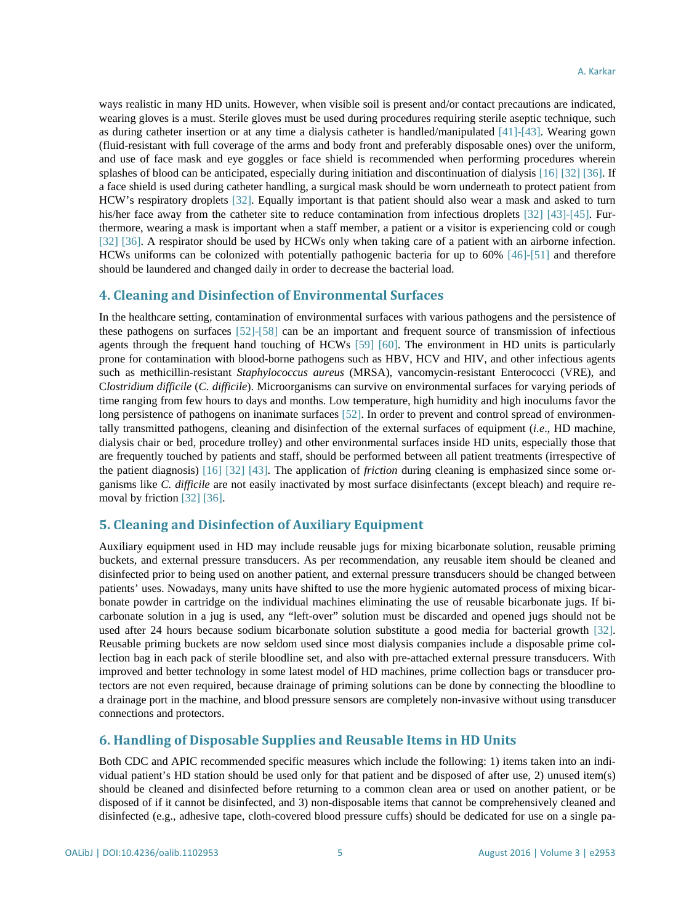ways realistic in many HD units. However, when visible soil is present and/or contact precautions are indicated, wearing gloves is a must. Sterile gloves must be used during procedures requiring sterile aseptic technique, such as during catheter insertion or at any time a dialysis catheter is handled/manipulated [\[41\]-](#page-12-6)[\[43\].](#page-12-7) Wearing gown (fluid-resistant with full coverage of the arms and body front and preferably disposable ones) over the uniform, and use of face mask and eye goggles or face shield is recommended when performing procedures wherein splashes of blood can be anticipated, especially during initiation and discontinuation of dialysi[s \[16\]](#page-11-10) [\[32\]](#page-12-0) [\[36\].](#page-12-4) If a face shield is used during catheter handling, a surgical mask should be worn underneath to protect patient from HCW's respiratory droplets [\[32\].](#page-12-0) Equally important is that patient should also wear a mask and asked to turn his/her face away from the catheter site to reduce contamination from infectious droplets [\[32\]](#page-12-0) [\[43\]-](#page-12-7)[\[45\].](#page-12-8) Furthermore, wearing a mask is important when a staff member, a patient or a visitor is experiencing cold or cough [\[32\]](#page-12-0) [\[36\].](#page-12-4) A respirator should be used by HCWs only when taking care of a patient with an airborne infection. HCWs uniforms can be colonized with potentially pathogenic bacteria for up to 60% [\[46\]-](#page-12-9)[\[51\]](#page-12-10) and therefore should be laundered and changed daily in order to decrease the bacterial load.

#### **4. Cleaning and Disinfection of Environmental Surfaces**

In the healthcare setting, contamination of environmental surfaces with various pathogens and the persistence of these pathogens on surfaces [\[52\]](#page-13-0)[-\[58\]](#page-13-1) can be an important and frequent source of transmission of infectious agents through the frequent hand touching of HCWs [\[59\]](#page-13-2) [\[60\].](#page-13-3) The environment in HD units is particularly prone for contamination with blood-borne pathogens such as HBV, HCV and HIV, and other infectious agents such as methicillin-resistant *Staphylococcus aureus* (MRSA), vancomycin-resistant Enterococci (VRE), and C*lostridium difficile* (*C. difficile*). Microorganisms can survive on environmental surfaces for varying periods of time ranging from few hours to days and months. Low temperature, high humidity and high inoculums favor the long persistence of pathogens on inanimate surfaces [\[52\].](#page-13-0) In order to prevent and control spread of environmentally transmitted pathogens, cleaning and disinfection of the external surfaces of equipment (*i.e*., HD machine, dialysis chair or bed, procedure trolley) and other environmental surfaces inside HD units, especially those that are frequently touched by patients and staff, should be performed between all patient treatments (irrespective of the patient diagnosis) [\[16\]](#page-11-10) [\[32\]](#page-12-0) [\[43\].](#page-12-7) The application of *friction* during cleaning is emphasized since some organisms like *C. difficile* are not easily inactivated by most surface disinfectants (except bleach) and require removal by frictio[n \[32\]](#page-12-0) [\[36\].](#page-12-4)

# **5. Cleaning and Disinfection of Auxiliary Equipment**

Auxiliary equipment used in HD may include reusable jugs for mixing bicarbonate solution, reusable priming buckets, and external pressure transducers. As per recommendation, any reusable item should be cleaned and disinfected prior to being used on another patient, and external pressure transducers should be changed between patients' uses. Nowadays, many units have shifted to use the more hygienic automated process of mixing bicarbonate powder in cartridge on the individual machines eliminating the use of reusable bicarbonate jugs. If bicarbonate solution in a jug is used, any "left-over" solution must be discarded and opened jugs should not be used after 24 hours because sodium bicarbonate solution substitute a good media for bacterial growth [\[32\].](#page-12-0) Reusable priming buckets are now seldom used since most dialysis companies include a disposable prime collection bag in each pack of sterile bloodline set, and also with pre-attached external pressure transducers. With improved and better technology in some latest model of HD machines, prime collection bags or transducer protectors are not even required, because drainage of priming solutions can be done by connecting the bloodline to a drainage port in the machine, and blood pressure sensors are completely non-invasive without using transducer connections and protectors.

# **6. Handling of Disposable Supplies and Reusable Items in HD Units**

Both CDC and APIC recommended specific measures which include the following: 1) items taken into an individual patient's HD station should be used only for that patient and be disposed of after use, 2) unused item(s) should be cleaned and disinfected before returning to a common clean area or used on another patient, or be disposed of if it cannot be disinfected, and 3) non-disposable items that cannot be comprehensively cleaned and disinfected (e.g., adhesive tape, cloth-covered blood pressure cuffs) should be dedicated for use on a single pa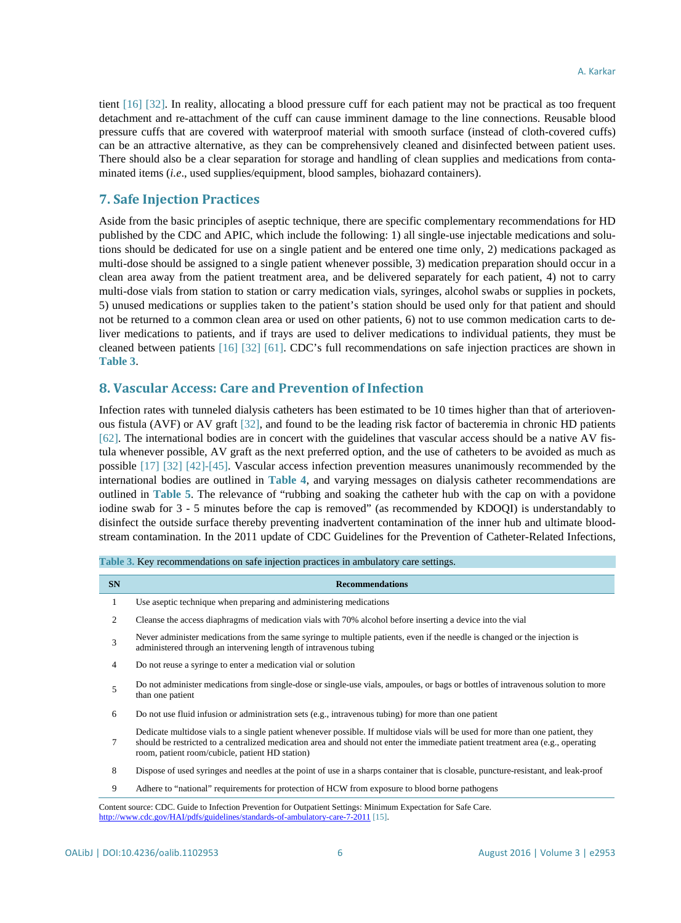tient [\[16\]](#page-11-10) [\[32\].](#page-12-0) In reality, allocating a blood pressure cuff for each patient may not be practical as too frequent detachment and re-attachment of the cuff can cause imminent damage to the line connections. Reusable blood pressure cuffs that are covered with waterproof material with smooth surface (instead of cloth-covered cuffs) can be an attractive alternative, as they can be comprehensively cleaned and disinfected between patient uses. There should also be a clear separation for storage and handling of clean supplies and medications from contaminated items (*i.e*., used supplies/equipment, blood samples, biohazard containers).

#### **7. Safe Injection Practices**

Aside from the basic principles of aseptic technique, there are specific complementary recommendations for HD published by the CDC and APIC, which include the following: 1) all single-use injectable medications and solutions should be dedicated for use on a single patient and be entered one time only, 2) medications packaged as multi-dose should be assigned to a single patient whenever possible, 3) medication preparation should occur in a clean area away from the patient treatment area, and be delivered separately for each patient, 4) not to carry multi-dose vials from station to station or carry medication vials, syringes, alcohol swabs or supplies in pockets, 5) unused medications or supplies taken to the patient's station should be used only for that patient and should not be returned to a common clean area or used on other patients, 6) not to use common medication carts to deliver medications to patients, and if trays are used to deliver medications to individual patients, they must be cleaned between patients [\[16\]](#page-11-10) [\[32\]](#page-12-0) [\[61\].](#page-13-4) CDC's full recommendations on safe injection practices are shown in **[Table 3](#page-5-0)**.

# **8. Vascular Access: Care and Prevention of Infection**

<span id="page-5-0"></span>**Table 3.** Key recommendations on safe injection practices in ambulatory care settings.

Infection rates with tunneled dialysis catheters has been estimated to be 10 times higher than that of arteriovenous fistula (AVF) or AV graft [\[32\],](#page-12-0) and found to be the leading risk factor of bacteremia in chronic HD patients [\[62\].](#page-13-5) The international bodies are in concert with the guidelines that vascular access should be a native AV fistula whenever possible, AV graft as the next preferred option, and the use of catheters to be avoided as much as possible [\[17\]](#page-11-11) [\[32\]](#page-12-0) [\[42\]](#page-12-11)[-\[45\].](#page-12-8) Vascular access infection prevention measures unanimously recommended by the international bodies are outlined in **[Table 4](#page-6-0)**, and varying messages on dialysis catheter recommendations are outlined in **[Table 5](#page-7-0)**. The relevance of "rubbing and soaking the catheter hub with the cap on with a povidone iodine swab for 3 - 5 minutes before the cap is removed" (as recommended by KDOQI) is understandably to disinfect the outside surface thereby preventing inadvertent contamination of the inner hub and ultimate bloodstream contamination. In the 2011 update of CDC Guidelines for the Prevention of Catheter-Related Infections,

| <b>SN</b> | <b>Recommendations</b>                                                                                                                                                                                                                                                                                                 |
|-----------|------------------------------------------------------------------------------------------------------------------------------------------------------------------------------------------------------------------------------------------------------------------------------------------------------------------------|
| 1         | Use aseptic technique when preparing and administering medications                                                                                                                                                                                                                                                     |
| 2         | Cleanse the access diaphragms of medication vials with 70% alcohol before inserting a device into the vial                                                                                                                                                                                                             |
| 3         | Never administer medications from the same syringe to multiple patients, even if the needle is changed or the injection is<br>administered through an intervening length of intravenous tubing                                                                                                                         |
| 4         | Do not reuse a syringe to enter a medication vial or solution                                                                                                                                                                                                                                                          |
| 5         | Do not administer medications from single-dose or single-use vials, ampoules, or bags or bottles of intravenous solution to more<br>than one patient                                                                                                                                                                   |
| 6         | Do not use fluid infusion or administration sets (e.g., intravenous tubing) for more than one patient                                                                                                                                                                                                                  |
| 7         | Dedicate multidose vials to a single patient whenever possible. If multidose vials will be used for more than one patient, they<br>should be restricted to a centralized medication area and should not enter the immediate patient treatment area (e.g., operating<br>room, patient room/cubicle, patient HD station) |
| 8         | Dispose of used syringes and needles at the point of use in a sharps container that is closable, puncture-resistant, and leak-proof                                                                                                                                                                                    |
| 9         | Adhere to "national" requirements for protection of HCW from exposure to blood borne pathogens                                                                                                                                                                                                                         |
|           | Content source: CDC. Guide to Infection Prevention for Outpatient Settings: Minimum Expectation for Safe Care.<br>http://www.cdc.gov/HAI/pdfs/guidelines/standards-of-ambulatory-care-7-2011 [15].                                                                                                                     |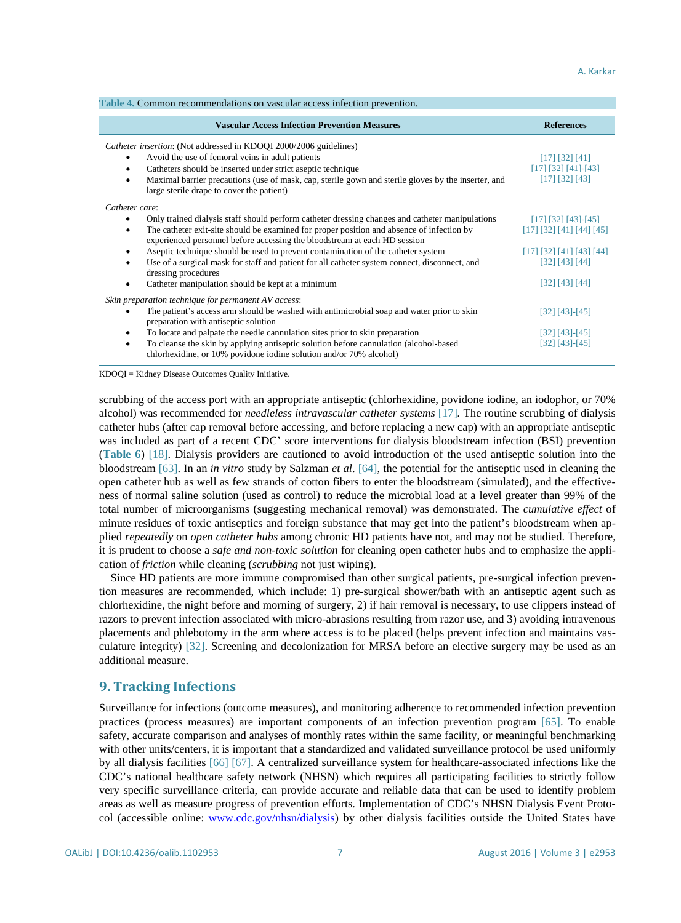<span id="page-6-0"></span>

| Table 4. Common recommendations on vascular access infection prevention.                                                                                               |                                    |
|------------------------------------------------------------------------------------------------------------------------------------------------------------------------|------------------------------------|
| <b>Vascular Access Infection Prevention Measures</b>                                                                                                                   | <b>References</b>                  |
| Catheter insertion: (Not addressed in KDOQI 2000/2006 guidelines)                                                                                                      |                                    |
| Avoid the use of femoral veins in adult patients                                                                                                                       | [17] [32] [41]                     |
| Catheters should be inserted under strict aseptic technique<br>$\bullet$                                                                                               | $[17]$ $[32]$ $[41]$ - $[43]$      |
| Maximal barrier precautions (use of mask, cap, sterile gown and sterile gloves by the inserter, and<br>large sterile drape to cover the patient)                       | [17] [32] [43]                     |
| Catheter care:                                                                                                                                                         |                                    |
| Only trained dialysis staff should perform catheter dressing changes and catheter manipulations                                                                        | $[17] [32] [43]$ -[45]             |
| The catheter exit-site should be examined for proper position and absence of infection by<br>experienced personnel before accessing the bloodstream at each HD session | [17] [32] [41] [44] [45]           |
| Aseptic technique should be used to prevent contamination of the catheter system                                                                                       | $[17]$ $[32]$ $[41]$ $[43]$ $[44]$ |
| Use of a surgical mask for staff and patient for all catheter system connect, disconnect, and<br>dressing procedures                                                   | [32] [43] [44]                     |
| Catheter manipulation should be kept at a minimum                                                                                                                      | [32] [43] [44]                     |
| Skin preparation technique for permanent AV access:                                                                                                                    |                                    |
| The patient's access arm should be washed with antimicrobial soap and water prior to skin<br>preparation with antiseptic solution                                      | [32] [43] - [45]                   |
| To locate and palpate the needle cannulation sites prior to skin preparation<br>٠                                                                                      | [32] [43] - [45]                   |
| To cleanse the skin by applying antiseptic solution before cannulation (alcohol-based<br>٠<br>chlorhexidine, or 10% povidone iodine solution and/or 70% alcohol)       | [32] [43]-[45]                     |

KDOQI = Kidney Disease Outcomes Quality Initiative.

scrubbing of the access port with an appropriate antiseptic (chlorhexidine, povidone iodine, an iodophor, or 70% alcohol) was recommended for *needleless intravascular catheter systems* [\[17\]](#page-11-11)*.* The routine scrubbing of dialysis catheter hubs (after cap removal before accessing, and before replacing a new cap) with an appropriate antiseptic was included as part of a recent CDC' score interventions for dialysis bloodstream infection (BSI) prevention (**[Table 6](#page-8-0)**) [\[18\].](#page-11-3) Dialysis providers are cautioned to avoid introduction of the used antiseptic solution into the bloodstream [\[63\].](#page-13-6) In an *in vitro* study by Salzman *et al*. [\[64\],](#page-13-7) the potential for the antiseptic used in cleaning the open catheter hub as well as few strands of cotton fibers to enter the bloodstream (simulated), and the effectiveness of normal saline solution (used as control) to reduce the microbial load at a level greater than 99% of the total number of microorganisms (suggesting mechanical removal) was demonstrated. The *cumulative effect* of minute residues of toxic antiseptics and foreign substance that may get into the patient's bloodstream when applied *repeatedly* on *open catheter hubs* among chronic HD patients have not, and may not be studied. Therefore, it is prudent to choose a *safe and non-toxic solution* for cleaning open catheter hubs and to emphasize the application of *friction* while cleaning (*scrubbing* not just wiping).

Since HD patients are more immune compromised than other surgical patients, pre-surgical infection prevention measures are recommended, which include: 1) pre-surgical shower/bath with an antiseptic agent such as chlorhexidine, the night before and morning of surgery, 2) if hair removal is necessary, to use clippers instead of razors to prevent infection associated with micro-abrasions resulting from razor use, and 3) avoiding intravenous placements and phlebotomy in the arm where access is to be placed (helps prevent infection and maintains vasculature integrity) [\[32\].](#page-12-0) Screening and decolonization for MRSA before an elective surgery may be used as an additional measure.

# **9. Tracking Infections**

Surveillance for infections (outcome measures), and monitoring adherence to recommended infection prevention practices (process measures) are important components of an infection prevention program [\[65\].](#page-13-8) To enable safety, accurate comparison and analyses of monthly rates within the same facility, or meaningful benchmarking with other units/centers, it is important that a standardized and validated surveillance protocol be used uniformly by all dialysis facilities [\[66\]](#page-13-9) [\[67\].](#page-13-10) A centralized surveillance system for healthcare-associated infections like the CDC's national healthcare safety network (NHSN) which requires all participating facilities to strictly follow very specific surveillance criteria, can provide accurate and reliable data that can be used to identify problem areas as well as measure progress of prevention efforts. Implementation of CDC's NHSN Dialysis Event Protocol (accessible online: [www.cdc.gov/nhsn/dialysis\)](http://www.cdc.gov/nhsn/dialysis) by other dialysis facilities outside the United States have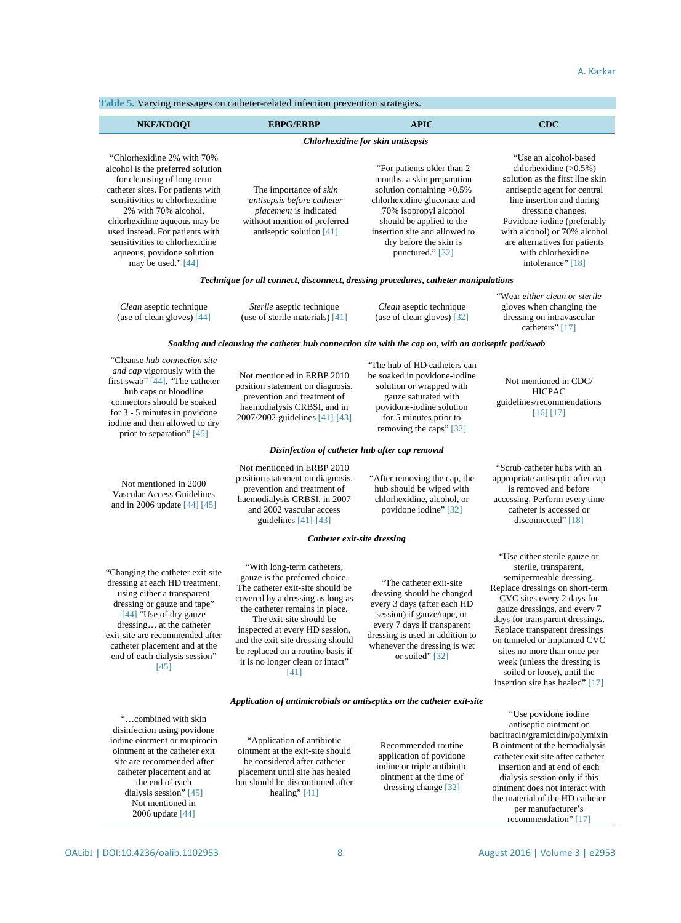<span id="page-7-0"></span>**Table 5.** Varying messages on catheter-related infection prevention strategies.

| <b>NKF/KDOOI</b>                                                                                                                                                                                                                                                                                                                                        | <b>EBPG/ERBP</b>                                                                                                                                           | <b>APIC</b>                                                                                                                                                                                                                                                    | <b>CDC</b>                                                                                                                                                                                                                                                                                                         |
|---------------------------------------------------------------------------------------------------------------------------------------------------------------------------------------------------------------------------------------------------------------------------------------------------------------------------------------------------------|------------------------------------------------------------------------------------------------------------------------------------------------------------|----------------------------------------------------------------------------------------------------------------------------------------------------------------------------------------------------------------------------------------------------------------|--------------------------------------------------------------------------------------------------------------------------------------------------------------------------------------------------------------------------------------------------------------------------------------------------------------------|
|                                                                                                                                                                                                                                                                                                                                                         |                                                                                                                                                            | Chlorhexidine for skin antisepsis                                                                                                                                                                                                                              |                                                                                                                                                                                                                                                                                                                    |
| "Chlorhexidine 2% with 70%<br>alcohol is the preferred solution<br>for cleansing of long-term<br>catheter sites. For patients with<br>sensitivities to chlorhexidine<br>2% with 70% alcohol,<br>chlorhexidine aqueous may be<br>used instead. For patients with<br>sensitivities to chlorhexidine<br>aqueous, povidone solution<br>may be used." $[44]$ | The importance of <i>skin</i><br>antisepsis before catheter<br><i>placement</i> is indicated<br>without mention of preferred<br>antiseptic solution $[41]$ | "For patients older than 2"<br>months, a skin preparation<br>solution containing $>0.5\%$<br>chlorhexidine gluconate and<br>70% isopropyl alcohol<br>should be applied to the<br>insertion site and allowed to<br>dry before the skin is<br>punctured." $[32]$ | "Use an alcohol-based"<br>chlorhexidine $(>0.5\%)$<br>solution as the first line skin<br>antiseptic agent for central<br>line insertion and during<br>dressing changes.<br>Povidone-iodine (preferably<br>with alcohol) or 70% alcohol<br>are alternatives for patients<br>with chlorhexidine<br>intolerance" [18] |
| Technique for all connect, disconnect, dressing procedures, catheter manipulations                                                                                                                                                                                                                                                                      |                                                                                                                                                            |                                                                                                                                                                                                                                                                |                                                                                                                                                                                                                                                                                                                    |
| Clean aseptic technique<br>(use of clean gloves) $[44]$                                                                                                                                                                                                                                                                                                 | Sterile aseptic technique<br>(use of sterile materials) $[41]$                                                                                             | Clean aseptic technique<br>(use of clean gloves) $[32]$                                                                                                                                                                                                        | "Wear either clean or sterile"<br>gloves when changing the<br>dressing on intravascular<br>catheters" [17]                                                                                                                                                                                                         |
|                                                                                                                                                                                                                                                                                                                                                         | Soaking and cleansing the catheter hub connection site with the cap on, with an antiseptic pad/swab                                                        |                                                                                                                                                                                                                                                                |                                                                                                                                                                                                                                                                                                                    |

| Cleanse <i>hup</i> connection sue<br>and cap vigorously with the<br>first swab" [44]. "The catheter<br>hub caps or bloodline<br>connectors should be soaked<br>for $3 - 5$ minutes in povidone<br>iodine and then allowed to dry<br>prior to separation" [45]                                       | Not mentioned in ERBP 2010<br>position statement on diagnosis,<br>prevention and treatment of<br>haemodialysis CRBSI, and in<br>2007/2002 guidelines [41]-[43]                                                                                                                                                                                            | "The hub of HD catheters can<br>be soaked in povidone-iodine<br>solution or wrapped with<br>gauze saturated with<br>povidone-iodine solution<br>for 5 minutes prior to<br>removing the caps" [32]                                        | Not mentioned in CDC/<br><b>HICPAC</b><br>guidelines/recommendations<br>$[16]$ $[17]$                                                                                                                                                                                                                                                                                                                                  |
|-----------------------------------------------------------------------------------------------------------------------------------------------------------------------------------------------------------------------------------------------------------------------------------------------------|-----------------------------------------------------------------------------------------------------------------------------------------------------------------------------------------------------------------------------------------------------------------------------------------------------------------------------------------------------------|------------------------------------------------------------------------------------------------------------------------------------------------------------------------------------------------------------------------------------------|------------------------------------------------------------------------------------------------------------------------------------------------------------------------------------------------------------------------------------------------------------------------------------------------------------------------------------------------------------------------------------------------------------------------|
|                                                                                                                                                                                                                                                                                                     | Disinfection of catheter hub after cap removal                                                                                                                                                                                                                                                                                                            |                                                                                                                                                                                                                                          |                                                                                                                                                                                                                                                                                                                                                                                                                        |
| Not mentioned in 2000<br><b>Vascular Access Guidelines</b><br>and in 2006 update $[44] [45]$                                                                                                                                                                                                        | Not mentioned in ERBP 2010<br>position statement on diagnosis,<br>prevention and treatment of<br>haemodialysis CRBSI, in 2007<br>and 2002 vascular access<br>guidelines $[41]-[43]$                                                                                                                                                                       | "After removing the cap, the<br>hub should be wiped with<br>chlorhexidine, alcohol, or<br>povidone iodine" [32]                                                                                                                          | "Scrub catheter hubs with an<br>appropriate antiseptic after cap<br>is removed and before<br>accessing. Perform every time<br>catheter is accessed or<br>disconnected" [18]                                                                                                                                                                                                                                            |
|                                                                                                                                                                                                                                                                                                     | Catheter exit-site dressing                                                                                                                                                                                                                                                                                                                               |                                                                                                                                                                                                                                          |                                                                                                                                                                                                                                                                                                                                                                                                                        |
| "Changing the catheter exit-site"<br>dressing at each HD treatment,<br>using either a transparent<br>dressing or gauze and tape"<br>[44] "Use of dry gauze<br>dressing at the catheter<br>exit-site are recommended after<br>catheter placement and at the<br>end of each dialysis session"<br>[45] | "With long-term catheters,<br>gauze is the preferred choice.<br>The catheter exit-site should be<br>covered by a dressing as long as<br>the catheter remains in place.<br>The exit-site should be<br>inspected at every HD session,<br>and the exit-site dressing should<br>be replaced on a routine basis if<br>it is no longer clean or intact"<br>[41] | "The catheter exit-site"<br>dressing should be changed<br>every 3 days (after each HD<br>session) if gauze/tape, or<br>every 7 days if transparent<br>dressing is used in addition to<br>whenever the dressing is wet<br>or soiled" [32] | "Use either sterile gauze or<br>sterile, transparent,<br>semipermeable dressing.<br>Replace dressings on short-term<br>CVC sites every 2 days for<br>gauze dressings, and every 7<br>days for transparent dressings.<br>Replace transparent dressings<br>on tunneled or implanted CVC<br>sites no more than once per<br>week (unless the dressing is<br>soiled or loose), until the<br>insertion site has healed" [17] |
|                                                                                                                                                                                                                                                                                                     | Application of antimicrobials or antiseptics on the catheter exit-site                                                                                                                                                                                                                                                                                    |                                                                                                                                                                                                                                          |                                                                                                                                                                                                                                                                                                                                                                                                                        |
| "combined with skin<br>disinfection using povidone<br>ta dina ainmann an municain                                                                                                                                                                                                                   | "Anglication of cotibiotic                                                                                                                                                                                                                                                                                                                                |                                                                                                                                                                                                                                          | "Use povidone iodine<br>antiseptic ointment or<br>bacitracin/gramicidin/polymixin                                                                                                                                                                                                                                                                                                                                      |

iodine ointment or mupirocin ointment at the catheter exit site are recommended after catheter placement and at the end of each dialysis session[" \[45\]](#page-12-8) Not mentioned in 2006 updat[e \[44\]](#page-12-12)

"Cleanse *hub connection site* 

"Application of antibiotic ointment at the exit-site should be considered after catheter placement until site has healed but should be discontinued after healing[" \[41\]](#page-12-6)

Recommended routine application of povidone iodine or triple antibiotic ointment at the time of dressing chang[e \[32\]](#page-12-0)

B ointment at the hemodialysis catheter exit site after catheter insertion and at end of each dialysis session only if this ointment does not interact with the material of the HD catheter per manufacturer's recommendation[" \[17\]](#page-11-11)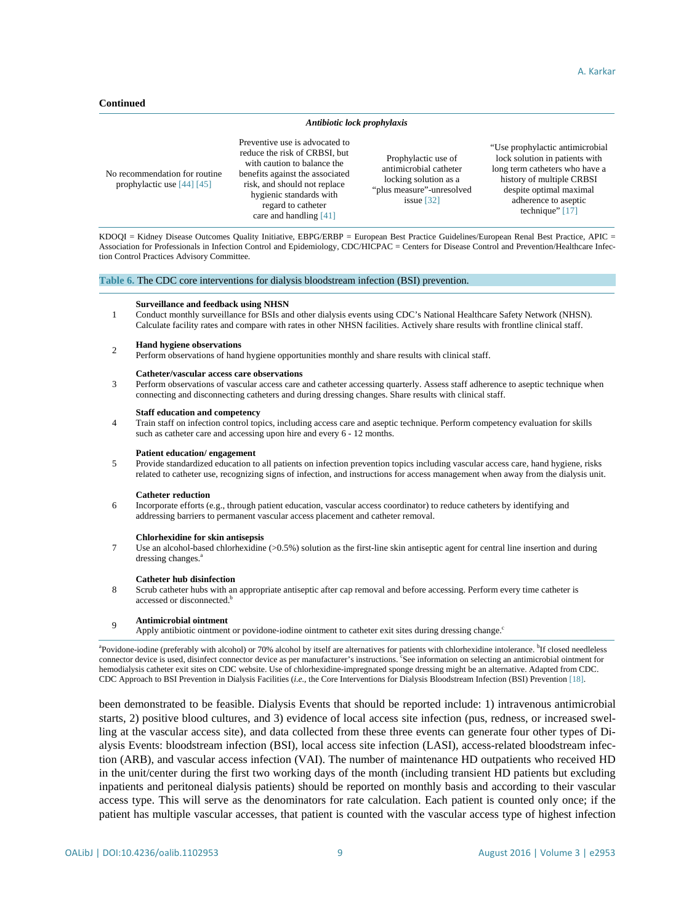#### **Continued**

#### *Antibiotic lock prophylaxis*

No recommendation for routine prophylactic us[e \[44\]](#page-12-12) [\[45\]](#page-12-8) Preventive use is advocated to reduce the risk of CRBSI, but with caution to balance the benefits against the associated risk, and should not replace hygienic standards with regard to catheter care and handlin[g \[41\]](#page-12-6) Prophylactic use of antimicrobial catheter locking solution as a "plus measure"-unresolved issu[e \[32\]](#page-12-0)

"Use prophylactic antimicrobial lock solution in patients with long term catheters who have a history of multiple CRBSI despite optimal maximal adherence to aseptic technique[" \[17\]](#page-11-11)

KDOQI = Kidney Disease Outcomes Quality Initiative, EBPG/ERBP = European Best Practice Guidelines/European Renal Best Practice, APIC = Association for Professionals in Infection Control and Epidemiology, CDC/HICPAC = Centers for Disease Control and Prevention/Healthcare Infection Control Practices Advisory Committee.

#### <span id="page-8-0"></span>**Table 6.** The CDC core interventions for dialysis bloodstream infection (BSI) prevention.

#### **Surveillance and feedback using NHSN**

1 Conduct monthly surveillance for BSIs and other dialysis events using CDC's National Healthcare Safety Network (NHSN). Calculate facility rates and compare with rates in other NHSN facilities. Actively share results with frontline clinical staff.

#### <sup>2</sup> **Hand hygiene observations**

Perform observations of hand hygiene opportunities monthly and share results with clinical staff.

#### **Catheter/vascular access care observations**

3 Perform observations of vascular access care and catheter accessing quarterly. Assess staff adherence to aseptic technique when connecting and disconnecting catheters and during dressing changes. Share results with clinical staff.

#### **Staff education and competency**

4 Train staff on infection control topics, including access care and aseptic technique. Perform competency evaluation for skills such as catheter care and accessing upon hire and every 6 - 12 months.

#### **Patient education/ engagement**

5 Provide standardized education to all patients on infection prevention topics including vascular access care, hand hygiene, risks related to catheter use, recognizing signs of infection, and instructions for access management when away from the dialysis unit.

#### **Catheter reduction**

7

6 Incorporate efforts (e.g., through patient education, vascular access coordinator) to reduce catheters by identifying and addressing barriers to permanent vascular access placement and catheter removal.

#### **Chlorhexidine for skin antisepsis**

Use an alcohol-based chlorhexidine (>0.5%) solution as the first-line skin antiseptic agent for central line insertion and during dressing changes.<sup>a</sup>

#### **Catheter hub disinfection**

8 Scrub catheter hubs with an appropriate antiseptic after cap removal and before accessing. Perform every time catheter is accessed or disconnected.<sup>b</sup>

#### <sup>9</sup> **Antimicrobial ointment**

Apply antibiotic ointment or povidone-iodine ointment to catheter exit sites during dressing change.

<sup>a</sup>Povidone-iodine (preferably with alcohol) or 70% alcohol by itself are alternatives for patients with chlorhexidine intolerance. <sup>b</sup>If closed needleless connector device is used, disinfect connector device as per manufacturer's instructions. See information on selecting an antimicrobial ointment for hemodialysis catheter exit sites on CDC website. Use of chlorhexidine-impregnated sponge dressing might be an alternative. Adapted from CDC. CDC Approach to BSI Prevention in Dialysis Facilities (*i.e.*, the Core Interventions for Dialysis Bloodstream Infection (BSI) Prevention [\[18\].](#page-11-3)

been demonstrated to be feasible. Dialysis Events that should be reported include: 1) intravenous antimicrobial starts, 2) positive blood cultures, and 3) evidence of local access site infection (pus, redness, or increased swelling at the vascular access site), and data collected from these three events can generate four other types of Dialysis Events: bloodstream infection (BSI), local access site infection (LASI), access-related bloodstream infection (ARB), and vascular access infection (VAI). The number of maintenance HD outpatients who received HD in the unit/center during the first two working days of the month (including transient HD patients but excluding inpatients and peritoneal dialysis patients) should be reported on monthly basis and according to their vascular access type. This will serve as the denominators for rate calculation. Each patient is counted only once; if the patient has multiple vascular accesses, that patient is counted with the vascular access type of highest infection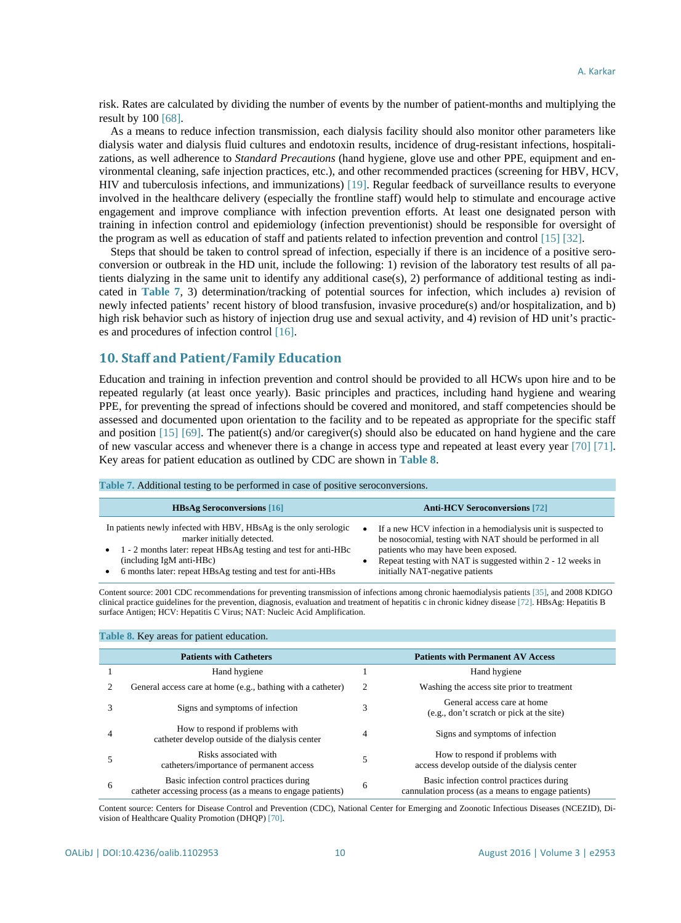risk. Rates are calculated by dividing the number of events by the number of patient-months and multiplying the result by 100 [\[68\].](#page-13-11)

As a means to reduce infection transmission, each dialysis facility should also monitor other parameters like dialysis water and dialysis fluid cultures and endotoxin results, incidence of drug-resistant infections, hospitalizations, as well adherence to *Standard Precautions* (hand hygiene, glove use and other PPE, equipment and environmental cleaning, safe injection practices, etc.), and other recommended practices (screening for HBV, HCV, HIV and tuberculosis infections, and immunizations) [\[19\].](#page-11-4) Regular feedback of surveillance results to everyone involved in the healthcare delivery (especially the frontline staff) would help to stimulate and encourage active engagement and improve compliance with infection prevention efforts. At least one designated person with training in infection control and epidemiology (infection preventionist) should be responsible for oversight of the program as well as education of staff and patients related to infection prevention and control [\[15\]](#page-11-2) [\[32\].](#page-12-0)

Steps that should be taken to control spread of infection, especially if there is an incidence of a positive seroconversion or outbreak in the HD unit, include the following: 1) revision of the laboratory test results of all patients dialyzing in the same unit to identify any additional case(s), 2) performance of additional testing as indicated in **[Table 7](#page-9-0)**, 3) determination/tracking of potential sources for infection, which includes a) revision of newly infected patients' recent history of blood transfusion, invasive procedure(s) and/or hospitalization, and b) high risk behavior such as history of injection drug use and sexual activity, and 4) revision of HD unit's practices and procedures of infection contro[l \[16\].](#page-11-10)

# **10. Staff and Patient/Family Education**

<span id="page-9-0"></span>**Table 7.** Additional testing to be performed in case of positive seroconversions.

<span id="page-9-1"></span>**Table 8.** Key areas for patient education.

Education and training in infection prevention and control should be provided to all HCWs upon hire and to be repeated regularly (at least once yearly). Basic principles and practices, including hand hygiene and wearing PPE, for preventing the spread of infections should be covered and monitored, and staff competencies should be assessed and documented upon orientation to the facility and to be repeated as appropriate for the specific staff and position [\[15\]](#page-11-2) [\[69\].](#page-13-12) The patient(s) and/or caregiver(s) should also be educated on hand hygiene and the care of new vascular access and whenever there is a change in access type and repeated at least every year [\[70\]](#page-13-13) [\[71\].](#page-13-14) Key areas for patient education as outlined by CDC are shown in **[Table 8](#page-9-1)**.

| <b>Table 7. Additional lesting to be performed in case of positive seroconversions.</b>                                                                                                                                                                    |                                                                                                                                                                                                                                                                           |
|------------------------------------------------------------------------------------------------------------------------------------------------------------------------------------------------------------------------------------------------------------|---------------------------------------------------------------------------------------------------------------------------------------------------------------------------------------------------------------------------------------------------------------------------|
| <b>HBsAg Seroconversions</b> [16]                                                                                                                                                                                                                          | <b>Anti-HCV Seroconversions</b> [72]                                                                                                                                                                                                                                      |
| In patients newly infected with HBV, HBsAg is the only serologic<br>marker initially detected.<br>1 - 2 months later: repeat HBsAg testing and test for anti-HBc<br>(including IgM anti-HBc)<br>6 months later: repeat HBsAg testing and test for anti-HBs | If a new HCV infection in a hemodialysis unit is suspected to<br>٠<br>be nosocomial, testing with NAT should be performed in all<br>patients who may have been exposed.<br>Repeat testing with NAT is suggested within 2 - 12 weeks in<br>initially NAT-negative patients |

Content source: 2001 CDC recommendations for preventing transmission of infections among chronic haemodialysis patients [\[35\],](#page-12-3) and 2008 KDIGO clinical practice guidelines for the prevention, diagnosis, evaluation and treatment of hepatitis c in chronic kidney diseas[e \[72\].](#page-13-15) HBsAg: Hepatitis B surface Antigen; HCV: Hepatitis C Virus; NAT: Nucleic Acid Amplification.

|   | <b>Table 6. Ney areas for patient education.</b>                                                       |   |                                                                                                 |
|---|--------------------------------------------------------------------------------------------------------|---|-------------------------------------------------------------------------------------------------|
|   | <b>Patients with Catheters</b>                                                                         |   | <b>Patients with Permanent AV Access</b>                                                        |
|   | Hand hygiene                                                                                           |   | Hand hygiene                                                                                    |
|   | General access care at home (e.g., bathing with a catheter)                                            | 2 | Washing the access site prior to treatment                                                      |
|   | Signs and symptoms of infection                                                                        | 3 | General access care at home<br>(e.g., don't scratch or pick at the site)                        |
| 4 | How to respond if problems with<br>catheter develop outside of the dialysis center                     | 4 | Signs and symptoms of infection                                                                 |
|   | Risks associated with<br>catheters/importance of permanent access                                      | 5 | How to respond if problems with<br>access develop outside of the dialysis center                |
| 6 | Basic infection control practices during<br>catheter accessing process (as a means to engage patients) | 6 | Basic infection control practices during<br>cannulation process (as a means to engage patients) |

Content source: Centers for Disease Control and Prevention (CDC), National Center for Emerging and Zoonotic Infectious Diseases (NCEZID), Division of Healthcare Quality Promotion (DHQP) [\[70\].](#page-13-13)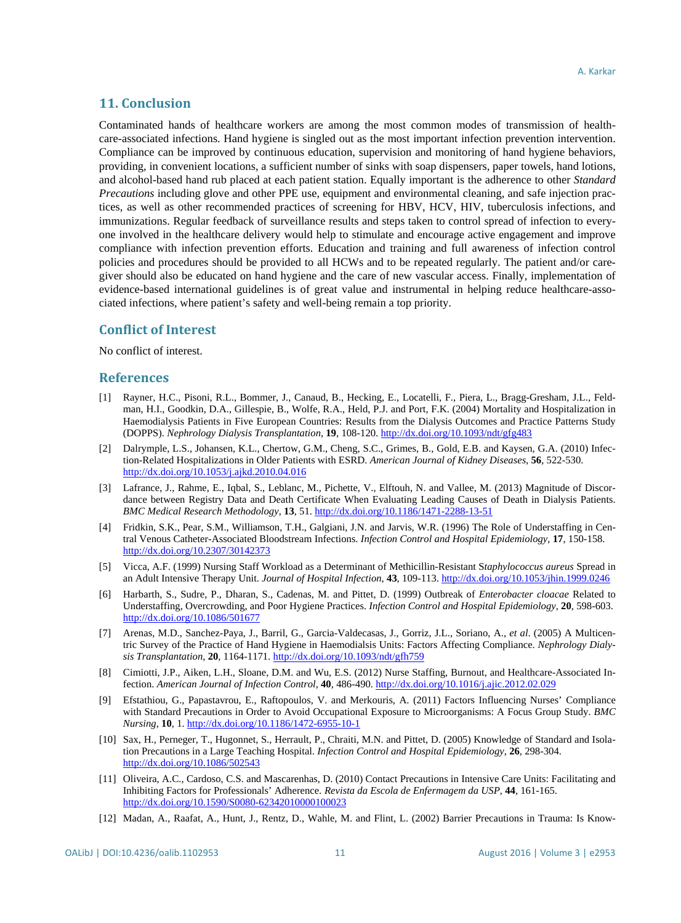# **11. Conclusion**

Contaminated hands of healthcare workers are among the most common modes of transmission of healthcare-associated infections. Hand hygiene is singled out as the most important infection prevention intervention. Compliance can be improved by continuous education, supervision and monitoring of hand hygiene behaviors, providing, in convenient locations, a sufficient number of sinks with soap dispensers, paper towels, hand lotions, and alcohol-based hand rub placed at each patient station. Equally important is the adherence to other *Standard Precautions* including glove and other PPE use, equipment and environmental cleaning, and safe injection practices, as well as other recommended practices of screening for HBV, HCV, HIV, tuberculosis infections, and immunizations. Regular feedback of surveillance results and steps taken to control spread of infection to everyone involved in the healthcare delivery would help to stimulate and encourage active engagement and improve compliance with infection prevention efforts. Education and training and full awareness of infection control policies and procedures should be provided to all HCWs and to be repeated regularly. The patient and/or caregiver should also be educated on hand hygiene and the care of new vascular access. Finally, implementation of evidence-based international guidelines is of great value and instrumental in helping reduce healthcare-associated infections, where patient's safety and well-being remain a top priority.

#### **Conflict of Interest**

No conflict of interest.

#### **References**

- <span id="page-10-0"></span>[1] Rayner, H.C., Pisoni, R.L., Bommer, J., Canaud, B., Hecking, E., Locatelli, F., Piera, L., Bragg-Gresham, J.L., Feldman, H.I., Goodkin, D.A., Gillespie, B., Wolfe, R.A., Held, P.J. and Port, F.K. (2004) Mortality and Hospitalization in Haemodialysis Patients in Five European Countries: Results from the Dialysis Outcomes and Practice Patterns Study (DOPPS). *Nephrology Dialysis Transplantation*, **19**, 108-120. <http://dx.doi.org/10.1093/ndt/gfg483>
- [2] Dalrymple, L.S., Johansen, K.L., Chertow, G.M., Cheng, S.C., Grimes, B., Gold, E.B. and Kaysen, G.A. (2010) Infection-Related Hospitalizations in Older Patients with ESRD. *American Journal of Kidney Diseases*, **56**, 522-530. <http://dx.doi.org/10.1053/j.ajkd.2010.04.016>
- <span id="page-10-1"></span>[3] Lafrance, J., Rahme, E., Iqbal, S., Leblanc, M., Pichette, V., Elftouh, N. and Vallee, M. (2013) Magnitude of Discordance between Registry Data and Death Certificate When Evaluating Leading Causes of Death in Dialysis Patients. *BMC Medical Research Methodology*, **13**, 51. <http://dx.doi.org/10.1186/1471-2288-13-51>
- <span id="page-10-2"></span>[4] Fridkin, S.K., Pear, S.M., Williamson, T.H., Galgiani, J.N. and Jarvis, W.R. (1996) The Role of Understaffing in Central Venous Catheter-Associated Bloodstream Infections. *Infection Control and Hospital Epidemiology*, **17**, 150-158. <http://dx.doi.org/10.2307/30142373>
- <span id="page-10-5"></span>[5] Vicca, A.F. (1999) Nursing Staff Workload as a Determinant of Methicillin-Resistant S*taphylococcus aureus* Spread in an Adult Intensive Therapy Unit. *Journal of Hospital Infection*, **43**, 109-113. <http://dx.doi.org/10.1053/jhin.1999.0246>
- <span id="page-10-3"></span>[6] Harbarth, S., Sudre, P., Dharan, S., Cadenas, M. and Pittet, D. (1999) Outbreak of *Enterobacter cloacae* Related to Understaffing, Overcrowding, and Poor Hygiene Practices. *Infection Control and Hospital Epidemiology*, **20**, 598-603. <http://dx.doi.org/10.1086/501677>
- [7] Arenas, M.D., Sanchez-Paya, J., Barril, G., Garcia-Valdecasas, J., Gorriz, J.L., Soriano, A., *et al*. (2005) A Multicentric Survey of the Practice of Hand Hygiene in Haemodialsis Units: Factors Affecting Compliance. *Nephrology Dialysis Transplantation*, **20**, 1164-1171. <http://dx.doi.org/10.1093/ndt/gfh759>
- [8] Cimiotti, J.P., Aiken, L.H., Sloane, D.M. and Wu, E.S. (2012) Nurse Staffing, Burnout, and Healthcare-Associated Infection. *American Journal of Infection Control*, **40**, 486-490. <http://dx.doi.org/10.1016/j.ajic.2012.02.029>
- <span id="page-10-4"></span>[9] Efstathiou, G., Papastavrou, E., Raftopoulos, V. and Merkouris, A. (2011) Factors Influencing Nurses' Compliance with Standard Precautions in Order to Avoid Occupational Exposure to Microorganisms: A Focus Group Study. *BMC Nursing*, **10**, 1. <http://dx.doi.org/10.1186/1472-6955-10-1>
- <span id="page-10-7"></span>[10] Sax, H., Perneger, T., Hugonnet, S., Herrault, P., Chraiti, M.N. and Pittet, D. (2005) Knowledge of Standard and Isolation Precautions in a Large Teaching Hospital. *Infection Control and Hospital Epidemiology*, **26**, 298-304. <http://dx.doi.org/10.1086/502543>
- <span id="page-10-6"></span>[11] Oliveira, A.C., Cardoso, C.S. and Mascarenhas, D. (2010) Contact Precautions in Intensive Care Units: Facilitating and Inhibiting Factors for Professionals' Adherence. *Revista da Escola de Enfermagem da USP*, **44**, 161-165. <http://dx.doi.org/10.1590/S0080-62342010000100023>
- <span id="page-10-8"></span>[12] Madan, A., Raafat, A., Hunt, J., Rentz, D., Wahle, M. and Flint, L. (2002) Barrier Precautions in Trauma: Is Know-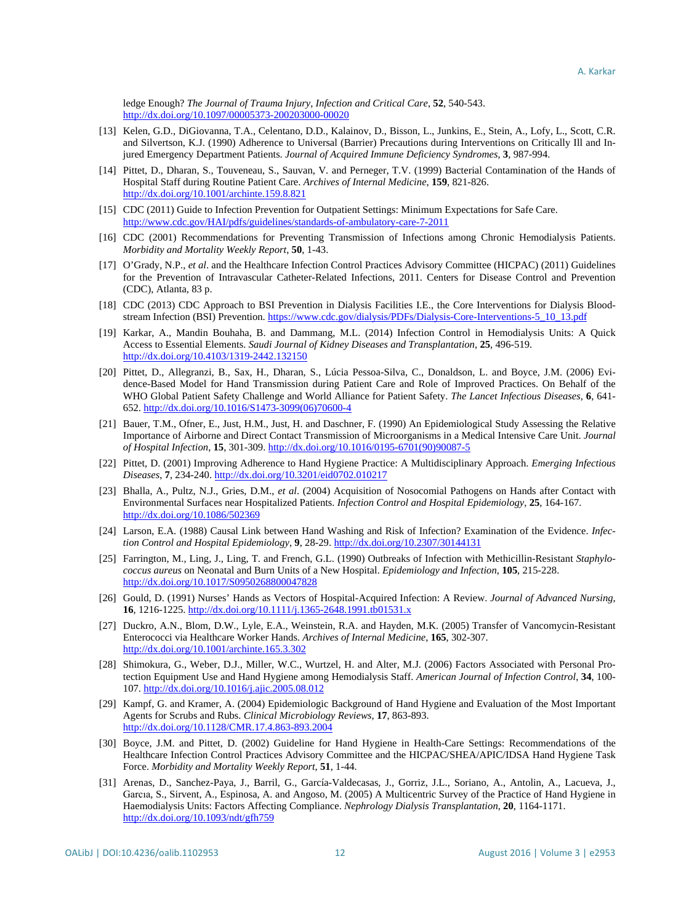ledge Enough? *The Journal of Trauma Injury*, *Infection and Critical Care*, **52**, 540-543. <http://dx.doi.org/10.1097/00005373-200203000-00020>

- <span id="page-11-0"></span>[13] Kelen, G.D., DiGiovanna, T.A., Celentano, D.D., Kalainov, D., Bisson, L., Junkins, E., Stein, A., Lofy, L., Scott, C.R. and Silvertson, K.J. (1990) Adherence to Universal (Barrier) Precautions during Interventions on Critically Ill and Injured Emergency Department Patients. *Journal of Acquired Immune Deficiency Syndromes*, **3**, 987-994.
- <span id="page-11-1"></span>[14] Pittet, D., Dharan, S., Touveneau, S., Sauvan, V. and Perneger, T.V. (1999) Bacterial Contamination of the Hands of Hospital Staff during Routine Patient Care. *Archives of Internal Medicine*, **159**, 821-826. <http://dx.doi.org/10.1001/archinte.159.8.821>
- <span id="page-11-2"></span>[15] CDC (2011) Guide to Infection Prevention for Outpatient Settings: Minimum Expectations for Safe Care. <http://www.cdc.gov/HAI/pdfs/guidelines/standards-of-ambulatory-care-7-2011>
- <span id="page-11-10"></span>[16] CDC (2001) Recommendations for Preventing Transmission of Infections among Chronic Hemodialysis Patients. *Morbidity and Mortality Weekly Report*, **50**, 1-43.
- <span id="page-11-11"></span>[17] O'Grady, N.P., *et al*. and the Healthcare Infection Control Practices Advisory Committee (HICPAC) (2011) Guidelines for the Prevention of Intravascular Catheter-Related Infections, 2011. Centers for Disease Control and Prevention (CDC), Atlanta, 83 p.
- <span id="page-11-3"></span>[18] CDC (2013) CDC Approach to BSI Prevention in Dialysis Facilities I.E., the Core Interventions for Dialysis Blood-stream Infection (BSI) Prevention[. https://www.cdc.gov/dialysis/PDFs/Dialysis-Core-Interventions-5\\_10\\_13.pdf](https://www.cdc.gov/dialysis/PDFs/Dialysis-Core-Interventions-5_10_13.pdf)
- <span id="page-11-4"></span>[19] Karkar, A., Mandin Bouhaha, B. and Dammang, M.L. (2014) Infection Control in Hemodialysis Units: A Quick Access to Essential Elements. *Saudi Journal of Kidney Diseases and Transplantation*, **25**, 496-519. <http://dx.doi.org/10.4103/1319-2442.132150>
- <span id="page-11-5"></span>[20] Pittet, D., Allegranzi, B., Sax, H., Dharan, S., Lúcia Pessoa-Silva, C., Donaldson, L. and Boyce, J.M. (2006) Evidence-Based Model for Hand Transmission during Patient Care and Role of Improved Practices. On Behalf of the WHO Global Patient Safety Challenge and World Alliance for Patient Safety. *The Lancet Infectious Diseases*, **6**, 641- 652. [http://dx.doi.org/10.1016/S1473-3099\(06\)70600-4](http://dx.doi.org/10.1016/S1473-3099(06)70600-4)
- <span id="page-11-6"></span>[21] Bauer, T.M., Ofner, E., Just, H.M., Just, H. and Daschner, F. (1990) An Epidemiological Study Assessing the Relative Importance of Airborne and Direct Contact Transmission of Microorganisms in a Medical Intensive Care Unit. *Journal of Hospital Infection*, **15**, 301-309. [http://dx.doi.org/10.1016/0195-6701\(90\)90087-5](http://dx.doi.org/10.1016/0195-6701(90)90087-5)
- [22] Pittet, D. (2001) Improving Adherence to Hand Hygiene Practice: A Multidisciplinary Approach. *Emerging Infectious Diseases*, **7**, 234-240. <http://dx.doi.org/10.3201/eid0702.010217>
- [23] Bhalla, A., Pultz, N.J., Gries, D.M., *et al*. (2004) Acquisition of Nosocomial Pathogens on Hands after Contact with Environmental Surfaces near Hospitalized Patients. *Infection Control and Hospital Epidemiology*, **25**, 164-167. <http://dx.doi.org/10.1086/502369>
- [24] Larson, E.A. (1988) Causal Link between Hand Washing and Risk of Infection? Examination of the Evidence. *Infection Control and Hospital Epidemiology*, **9**, 28-29. <http://dx.doi.org/10.2307/30144131>
- [25] Farrington, M., Ling, J., Ling, T. and French, G.L. (1990) Outbreaks of Infection with Methicillin-Resistant *Staphylococcus aureus* on Neonatal and Burn Units of a New Hospital. *Epidemiology and Infection*, **105**, 215-228. <http://dx.doi.org/10.1017/S0950268800047828>
- [26] Gould, D. (1991) Nurses' Hands as Vectors of Hospital-Acquired Infection: A Review. *Journal of Advanced Nursing*, **16**, 1216-1225. <http://dx.doi.org/10.1111/j.1365-2648.1991.tb01531.x>
- [27] Duckro, A.N., Blom, D.W., Lyle, E.A., Weinstein, R.A. and Hayden, M.K. (2005) Transfer of Vancomycin-Resistant Enterococci via Healthcare Worker Hands. *Archives of Internal Medicine*, **165**, 302-307. <http://dx.doi.org/10.1001/archinte.165.3.302>
- [28] Shimokura, G., Weber, D.J., Miller, W.C., Wurtzel, H. and Alter, M.J. (2006) Factors Associated with Personal Protection Equipment Use and Hand Hygiene among Hemodialysis Staff. *American Journal of Infection Control*, **34**, 100- 107. <http://dx.doi.org/10.1016/j.ajic.2005.08.012>
- <span id="page-11-7"></span>[29] Kampf, G. and Kramer, A. (2004) Epidemiologic Background of Hand Hygiene and Evaluation of the Most Important Agents for Scrubs and Rubs. *Clinical Microbiology Reviews*, **17**, 863-893. <http://dx.doi.org/10.1128/CMR.17.4.863-893.2004>
- <span id="page-11-8"></span>[30] Boyce, J.M. and Pittet, D. (2002) Guideline for Hand Hygiene in Health-Care Settings: Recommendations of the Healthcare Infection Control Practices Advisory Committee and the HICPAC/SHEA/APIC/IDSA Hand Hygiene Task Force. *Morbidity and Mortality Weekly Report*, **51**, 1-44.
- <span id="page-11-9"></span>[31] Arenas, D., Sanchez-Paya, J., Barril, G., García-Valdecasas, J., Gorriz, J.L., Soriano, A., Antolin, A., Lacueva, J., Garcıa, S., Sirvent, A., Espinosa, A. and Angoso, M. (2005) A Multicentric Survey of the Practice of Hand Hygiene in Haemodialysis Units: Factors Affecting Compliance. *Nephrology Dialysis Transplantation*, **20**, 1164-1171. <http://dx.doi.org/10.1093/ndt/gfh759>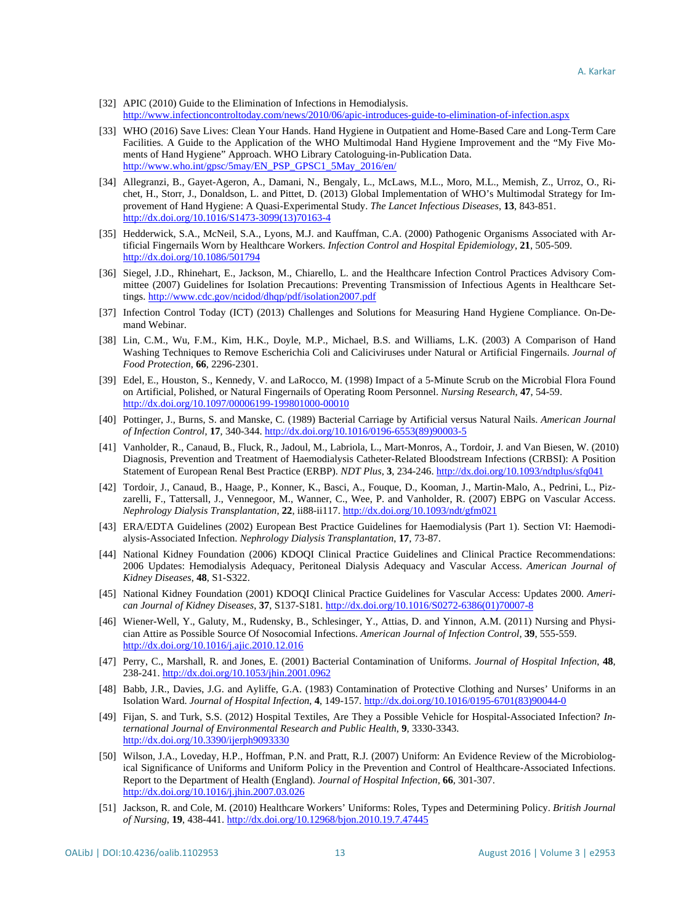- <span id="page-12-0"></span>[32] APIC (2010) Guide to the Elimination of Infections in Hemodialysis. <http://www.infectioncontroltoday.com/news/2010/06/apic-introduces-guide-to-elimination-of-infection.aspx>
- <span id="page-12-1"></span>[33] WHO (2016) Save Lives: Clean Your Hands. Hand Hygiene in Outpatient and Home-Based Care and Long-Term Care Facilities. A Guide to the Application of the WHO Multimodal Hand Hygiene Improvement and the "My Five Moments of Hand Hygiene" Approach. WHO Library Catologuing-in-Publication Data. [http://www.who.int/gpsc/5may/EN\\_PSP\\_GPSC1\\_5May\\_2016/en/](http://www.who.int/gpsc/5may/EN_PSP_GPSC1_5May_2016/en/)
- <span id="page-12-2"></span>[34] Allegranzi, B., Gayet-Ageron, A., Damani, N., Bengaly, L., McLaws, M.L., Moro, M.L., Memish, Z., Urroz, O., Richet, H., Storr, J., Donaldson, L. and Pittet, D. (2013) Global Implementation of WHO's Multimodal Strategy for Improvement of Hand Hygiene: A Quasi-Experimental Study. *The Lancet Infectious Diseases*, **13**, 843-851. [http://dx.doi.org/10.1016/S1473-3099\(13\)70163-4](http://dx.doi.org/10.1016/S1473-3099(13)70163-4)
- <span id="page-12-3"></span>[35] Hedderwick, S.A., McNeil, S.A., Lyons, M.J. and Kauffman, C.A. (2000) Pathogenic Organisms Associated with Artificial Fingernails Worn by Healthcare Workers. *Infection Control and Hospital Epidemiology*, **21**, 505-509. <http://dx.doi.org/10.1086/501794>
- <span id="page-12-4"></span>[36] Siegel, J.D., Rhinehart, E., Jackson, M., Chiarello, L. and the Healthcare Infection Control Practices Advisory Committee (2007) Guidelines for Isolation Precautions: Preventing Transmission of Infectious Agents in Healthcare Settings[. http://www.cdc.gov/ncidod/dhqp/pdf/isolation2007.pdf](http://www.cdc.gov/ncidod/dhqp/pdf/isolation2007.pdf)
- [37] Infection Control Today (ICT) (2013) Challenges and Solutions for Measuring Hand Hygiene Compliance. On-Demand Webinar.
- [38] Lin, C.M., Wu, F.M., Kim, H.K., Doyle, M.P., Michael, B.S. and Williams, L.K. (2003) A Comparison of Hand Washing Techniques to Remove Escherichia Coli and Caliciviruses under Natural or Artificial Fingernails. *Journal of Food Protection*, **66**, 2296-2301.
- [39] Edel, E., Houston, S., Kennedy, V. and LaRocco, M. (1998) Impact of a 5-Minute Scrub on the Microbial Flora Found on Artificial, Polished, or Natural Fingernails of Operating Room Personnel. *Nursing Research*, **47**, 54-59. <http://dx.doi.org/10.1097/00006199-199801000-00010>
- <span id="page-12-5"></span>[40] Pottinger, J., Burns, S. and Manske, C. (1989) Bacterial Carriage by Artificial versus Natural Nails. *American Journal of Infection Control*, **17**, 340-344. [http://dx.doi.org/10.1016/0196-6553\(89\)90003-5](http://dx.doi.org/10.1016/0196-6553(89)90003-5)
- <span id="page-12-6"></span>[41] Vanholder, R., Canaud, B., Fluck, R., Jadoul, M., Labriola, L., Mart-Monros, A., Tordoir, J. and Van Biesen, W. (2010) Diagnosis, Prevention and Treatment of Haemodialysis Catheter-Related Bloodstream Infections (CRBSI): A Position Statement of European Renal Best Practice (ERBP). *NDT Plus*, **3**, 234-246.<http://dx.doi.org/10.1093/ndtplus/sfq041>
- <span id="page-12-11"></span>[42] Tordoir, J., Canaud, B., Haage, P., Konner, K., Basci, A., Fouque, D., Kooman, J., Martin-Malo, A., Pedrini, L., Pizzarelli, F., Tattersall, J., Vennegoor, M., Wanner, C., Wee, P. and Vanholder, R. (2007) EBPG on Vascular Access. *Nephrology Dialysis Transplantation*, **22**, ii88-ii117.<http://dx.doi.org/10.1093/ndt/gfm021>
- <span id="page-12-7"></span>[43] ERA/EDTA Guidelines (2002) European Best Practice Guidelines for Haemodialysis (Part 1). Section VI: Haemodialysis-Associated Infection. *Nephrology Dialysis Transplantation*, **17**, 73-87.
- <span id="page-12-12"></span>[44] National Kidney Foundation (2006) KDOQI Clinical Practice Guidelines and Clinical Practice Recommendations: 2006 Updates: Hemodialysis Adequacy, Peritoneal Dialysis Adequacy and Vascular Access. *American Journal of Kidney Diseases*, **48**, S1-S322.
- <span id="page-12-8"></span>[45] National Kidney Foundation (2001) KDOQI Clinical Practice Guidelines for Vascular Access: Updates 2000. *American Journal of Kidney Diseases*, **37**, S137-S181. [http://dx.doi.org/10.1016/S0272-6386\(01\)70007-8](http://dx.doi.org/10.1016/S0272-6386(01)70007-8)
- <span id="page-12-9"></span>[46] Wiener-Well, Y., Galuty, M., Rudensky, B., Schlesinger, Y., Attias, D. and Yinnon, A.M. (2011) Nursing and Physician Attire as Possible Source Of Nosocomial Infections. *American Journal of Infection Control*, **39**, 555-559. <http://dx.doi.org/10.1016/j.ajic.2010.12.016>
- [47] Perry, C., Marshall, R. and Jones, E. (2001) Bacterial Contamination of Uniforms. *Journal of Hospital Infection*, **48**, 238-241. <http://dx.doi.org/10.1053/jhin.2001.0962>
- [48] Babb, J.R., Davies, J.G. and Ayliffe, G.A. (1983) Contamination of Protective Clothing and Nurses' Uniforms in an Isolation Ward. *Journal of Hospital Infection*, **4**, 149-157. [http://dx.doi.org/10.1016/0195-6701\(83\)90044-0](http://dx.doi.org/10.1016/0195-6701(83)90044-0)
- [49] Fijan, S. and Turk, S.S. (2012) Hospital Textiles, Are They a Possible Vehicle for Hospital-Associated Infection? *International Journal of Environmental Research and Public Health*, **9**, 3330-3343. <http://dx.doi.org/10.3390/ijerph9093330>
- [50] Wilson, J.A., Loveday, H.P., Hoffman, P.N. and Pratt, R.J. (2007) Uniform: An Evidence Review of the Microbiological Significance of Uniforms and Uniform Policy in the Prevention and Control of Healthcare-Associated Infections. Report to the Department of Health (England). *Journal of Hospital Infection*, **66**, 301-307. <http://dx.doi.org/10.1016/j.jhin.2007.03.026>
- <span id="page-12-10"></span>[51] Jackson, R. and Cole, M. (2010) Healthcare Workers' Uniforms: Roles, Types and Determining Policy. *British Journal of Nursing*, **19**, 438-441. <http://dx.doi.org/10.12968/bjon.2010.19.7.47445>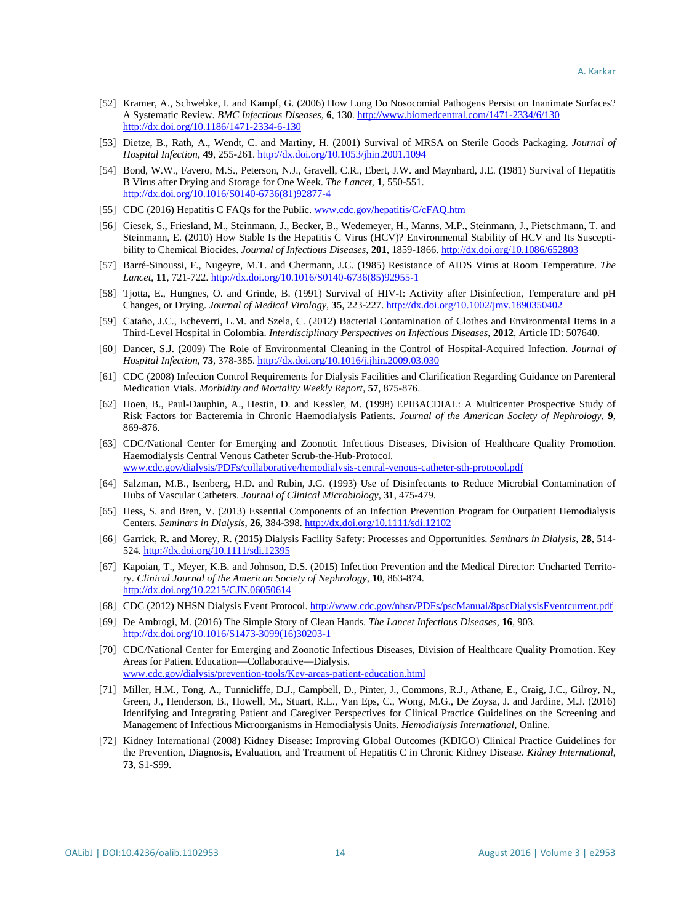- <span id="page-13-0"></span>[52] Kramer, A., Schwebke, I. and Kampf, G. (2006) How Long Do Nosocomial Pathogens Persist on Inanimate Surfaces? A Systematic Review. *BMC Infectious Diseases*, **6**, 130[. http://www.biomedcentral.com/1471-2334/6/130](http://www.biomedcentral.com/1471-2334/6/130) <http://dx.doi.org/10.1186/1471-2334-6-130>
- [53] Dietze, B., Rath, A., Wendt, C. and Martiny, H. (2001) Survival of MRSA on Sterile Goods Packaging. *Journal of Hospital Infection*, **49**, 255-261. <http://dx.doi.org/10.1053/jhin.2001.1094>
- [54] Bond, W.W., Favero, M.S., Peterson, N.J., Gravell, C.R., Ebert, J.W. and Maynhard, J.E. (1981) Survival of Hepatitis B Virus after Drying and Storage for One Week. *The Lancet*, **1**, 550-551. [http://dx.doi.org/10.1016/S0140-6736\(81\)92877-4](http://dx.doi.org/10.1016/S0140-6736(81)92877-4)
- [55] CDC (2016) Hepatitis C FAQs for the Public. [www.cdc.gov/hepatitis/C/cFAQ.htm](http://www.cdc.gov/hepatitis/C/cFAQ.htm)
- [56] Ciesek, S., Friesland, M., Steinmann, J., Becker, B., Wedemeyer, H., Manns, M.P., Steinmann, J., Pietschmann, T. and Steinmann, E. (2010) How Stable Is the Hepatitis C Virus (HCV)? Environmental Stability of HCV and Its Susceptibility to Chemical Biocides. *Journal of Infectious Diseases*, **201**, 1859-1866. <http://dx.doi.org/10.1086/652803>
- [57] Barré-Sinoussi, F., Nugeyre, M.T. and Chermann, J.C. (1985) Resistance of AIDS Virus at Room Temperature. *The Lancet*, **11**, 721-722. [http://dx.doi.org/10.1016/S0140-6736\(85\)92955-1](http://dx.doi.org/10.1016/S0140-6736(85)92955-1)
- <span id="page-13-1"></span>[58] Tjotta, E., Hungnes, O. and Grinde, B. (1991) Survival of HIV-I: Activity after Disinfection, Temperature and pH Changes, or Drying. *Journal of Medical Virology*, **35**, 223-227. <http://dx.doi.org/10.1002/jmv.1890350402>
- <span id="page-13-2"></span>[59] Cataňo, J.C., Echeverri, L.M. and Szela, C. (2012) Bacterial Contamination of Clothes and Environmental Items in a Third-Level Hospital in Colombia. *Interdisciplinary Perspectives on Infectious Diseases*, **2012**, Article ID: 507640.
- <span id="page-13-3"></span>[60] Dancer, S.J. (2009) The Role of Environmental Cleaning in the Control of Hospital-Acquired Infection. *Journal of Hospital Infection*, **73**, 378-385. <http://dx.doi.org/10.1016/j.jhin.2009.03.030>
- <span id="page-13-4"></span>[61] CDC (2008) Infection Control Requirements for Dialysis Facilities and Clarification Regarding Guidance on Parenteral Medication Vials. *Morbidity and Mortality Weekly Report*, **57**, 875-876.
- <span id="page-13-5"></span>[62] Hoen, B., Paul-Dauphin, A., Hestin, D. and Kessler, M. (1998) EPIBACDIAL: A Multicenter Prospective Study of Risk Factors for Bacteremia in Chronic Haemodialysis Patients. *Journal of the American Society of Nephrology*, **9**, 869-876.
- <span id="page-13-6"></span>[63] CDC/National Center for Emerging and Zoonotic Infectious Diseases, Division of Healthcare Quality Promotion. Haemodialysis Central Venous Catheter Scrub-the-Hub-Protocol. [www.cdc.gov/dialysis/PDFs/collaborative/hemodialysis-central-venous-catheter-sth-protocol.pdf](http://www.cdc.gov/dialysis/PDFs/collaborative/hemodialysis-central-venous-catheter-sth-protocol.pdf)
- <span id="page-13-7"></span>[64] Salzman, M.B., Isenberg, H.D. and Rubin, J.G. (1993) Use of Disinfectants to Reduce Microbial Contamination of Hubs of Vascular Catheters. *Journal of Clinical Microbiology*, **31**, 475-479.
- <span id="page-13-8"></span>[65] Hess, S. and Bren, V. (2013) Essential Components of an Infection Prevention Program for Outpatient Hemodialysis Centers. *Seminars in Dialysis*, **26**, 384-398. <http://dx.doi.org/10.1111/sdi.12102>
- <span id="page-13-9"></span>[66] Garrick, R. and Morey, R. (2015) Dialysis Facility Safety: Processes and Opportunities. *Seminars in Dialysis*, **28**, 514- 524. <http://dx.doi.org/10.1111/sdi.12395>
- <span id="page-13-10"></span>[67] Kapoian, T., Meyer, K.B. and Johnson, D.S. (2015) Infection Prevention and the Medical Director: Uncharted Territory. *Clinical Journal of the American Society of Nephrology*, **10**, 863-874. <http://dx.doi.org/10.2215/CJN.06050614>
- <span id="page-13-11"></span>[68] CDC (2012) NHSN Dialysis Event Protocol[. http://www.cdc.gov/nhsn/PDFs/pscManual/8pscDialysisEventcurrent.pdf](http://www.cdc.gov/nhsn/PDFs/pscManual/8pscDialysisEventcurrent.pdf)
- <span id="page-13-12"></span>[69] De Ambrogi, M. (2016) The Simple Story of Clean Hands. *The Lancet Infectious Diseases*, **16**, 903. [http://dx.doi.org/10.1016/S1473-3099\(16\)30203-1](http://dx.doi.org/10.1016/S1473-3099(16)30203-1)
- <span id="page-13-13"></span>[70] CDC/National Center for Emerging and Zoonotic Infectious Diseases, Division of Healthcare Quality Promotion. Key Areas for Patient Education—Collaborative—Dialysis. [www.cdc.gov/dialysis/prevention-tools/Key-areas-patient-education.html](http://www.cdc.gov/dialysis/prevention-tools/Key-areas-patient-education.html)
- <span id="page-13-14"></span>[71] Miller, H.M., Tong, A., Tunnicliffe, D.J., Campbell, D., Pinter, J., Commons, R.J., Athane, E., Craig, J.C., Gilroy, N., Green, J., Henderson, B., Howell, M., Stuart, R.L., Van Eps, C., Wong, M.G., De Zoysa, J. and Jardine, M.J. (2016) Identifying and Integrating Patient and Caregiver Perspectives for Clinical Practice Guidelines on the Screening and Management of Infectious Microorganisms in Hemodialysis Units. *Hemodialysis International*, Online.
- <span id="page-13-15"></span>[72] Kidney International (2008) Kidney Disease: Improving Global Outcomes (KDIGO) Clinical Practice Guidelines for the Prevention, Diagnosis, Evaluation, and Treatment of Hepatitis C in Chronic Kidney Disease. *Kidney International*, **73**, S1-S99.